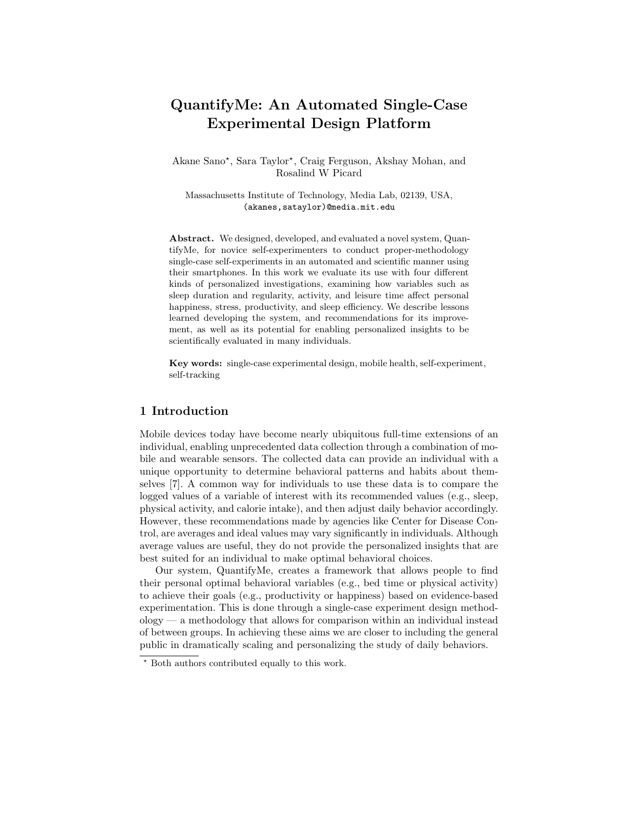# QuantifyMe: An Automated Single-Case Experimental Design Platform

Akane Sano\*, Sara Taylor\*, Craig Ferguson, Akshay Mohan, and Rosalind W Picard

Massachusetts Institute of Technology, Media Lab, 02139, USA, (akanes,sataylor)@media.mit.edu

Abstract. We designed, developed, and evaluated a novel system, QuantifyMe, for novice self-experimenters to conduct proper-methodology single-case self-experiments in an automated and scientific manner using their smartphones. In this work we evaluate its use with four different kinds of personalized investigations, examining how variables such as sleep duration and regularity, activity, and leisure time affect personal happiness, stress, productivity, and sleep efficiency. We describe lessons learned developing the system, and recommendations for its improvement, as well as its potential for enabling personalized insights to be scientifically evaluated in many individuals.

Key words: single-case experimental design, mobile health, self-experiment, self-tracking

## 1 Introduction

Mobile devices today have become nearly ubiquitous full-time extensions of an individual, enabling unprecedented data collection through a combination of mobile and wearable sensors. The collected data can provide an individual with a unique opportunity to determine behavioral patterns and habits about themselves [7]. A common way for individuals to use these data is to compare the logged values of a variable of interest with its recommended values (e.g., sleep, physical activity, and calorie intake), and then adjust daily behavior accordingly. However, these recommendations made by agencies like Center for Disease Control, are averages and ideal values may vary significantly in individuals. Although average values are useful, they do not provide the personalized insights that are best suited for an individual to make optimal behavioral choices.

Our system, QuantifyMe, creates a framework that allows people to find their personal optimal behavioral variables (e.g., bed time or physical activity) to achieve their goals (e.g., productivity or happiness) based on evidence-based experimentation. This is done through a single-case experiment design methodology — a methodology that allows for comparison within an individual instead of between groups. In achieving these aims we are closer to including the general public in dramatically scaling and personalizing the study of daily behaviors.

<sup>?</sup> Both authors contributed equally to this work.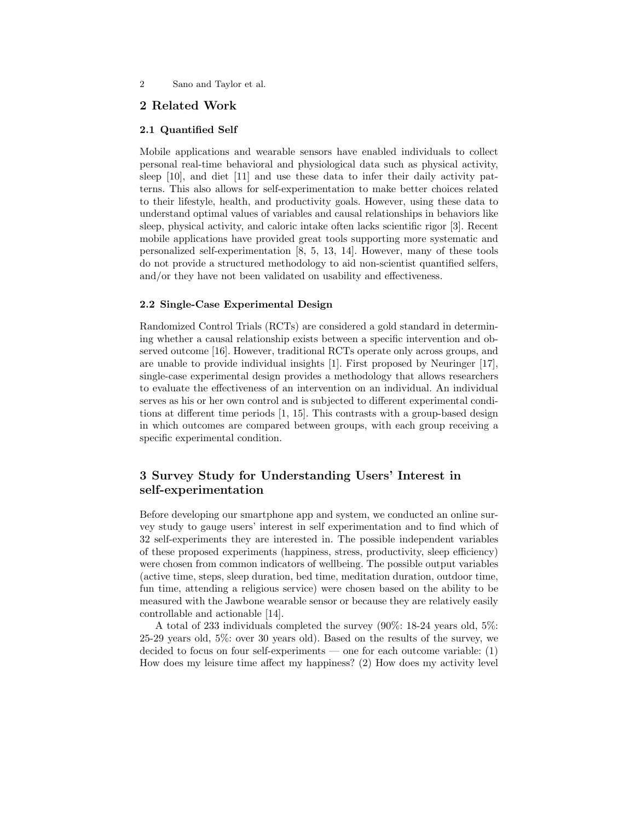2 Sano and Taylor et al.

## 2 Related Work

#### 2.1 Quantified Self

Mobile applications and wearable sensors have enabled individuals to collect personal real-time behavioral and physiological data such as physical activity, sleep [10], and diet [11] and use these data to infer their daily activity patterns. This also allows for self-experimentation to make better choices related to their lifestyle, health, and productivity goals. However, using these data to understand optimal values of variables and causal relationships in behaviors like sleep, physical activity, and caloric intake often lacks scientific rigor [3]. Recent mobile applications have provided great tools supporting more systematic and personalized self-experimentation [8, 5, 13, 14]. However, many of these tools do not provide a structured methodology to aid non-scientist quantified selfers, and/or they have not been validated on usability and effectiveness.

#### 2.2 Single-Case Experimental Design

Randomized Control Trials (RCTs) are considered a gold standard in determining whether a causal relationship exists between a specific intervention and observed outcome [16]. However, traditional RCTs operate only across groups, and are unable to provide individual insights [1]. First proposed by Neuringer [17], single-case experimental design provides a methodology that allows researchers to evaluate the effectiveness of an intervention on an individual. An individual serves as his or her own control and is subjected to different experimental conditions at different time periods [1, 15]. This contrasts with a group-based design in which outcomes are compared between groups, with each group receiving a specific experimental condition.

# 3 Survey Study for Understanding Users' Interest in self-experimentation

Before developing our smartphone app and system, we conducted an online survey study to gauge users' interest in self experimentation and to find which of 32 self-experiments they are interested in. The possible independent variables of these proposed experiments (happiness, stress, productivity, sleep efficiency) were chosen from common indicators of wellbeing. The possible output variables (active time, steps, sleep duration, bed time, meditation duration, outdoor time, fun time, attending a religious service) were chosen based on the ability to be measured with the Jawbone wearable sensor or because they are relatively easily controllable and actionable [14].

A total of 233 individuals completed the survey (90%: 18-24 years old, 5%: 25-29 years old, 5%: over 30 years old). Based on the results of the survey, we decided to focus on four self-experiments — one for each outcome variable: (1) How does my leisure time affect my happiness? (2) How does my activity level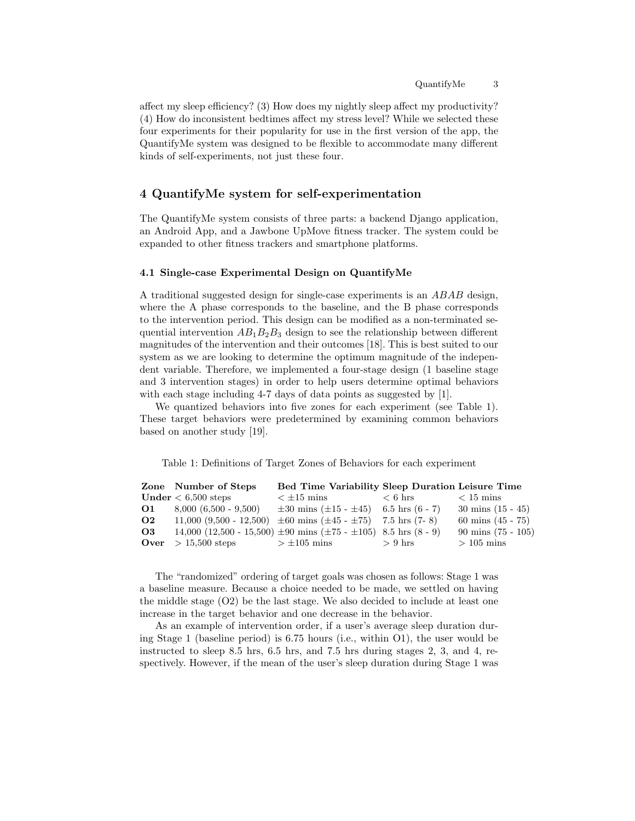affect my sleep efficiency? (3) How does my nightly sleep affect my productivity? (4) How do inconsistent bedtimes affect my stress level? While we selected these four experiments for their popularity for use in the first version of the app, the QuantifyMe system was designed to be flexible to accommodate many different kinds of self-experiments, not just these four.

## 4 QuantifyMe system for self-experimentation

The QuantifyMe system consists of three parts: a backend Django application, an Android App, and a Jawbone UpMove fitness tracker. The system could be expanded to other fitness trackers and smartphone platforms.

#### 4.1 Single-case Experimental Design on QuantifyMe

A traditional suggested design for single-case experiments is an ABAB design, where the A phase corresponds to the baseline, and the B phase corresponds to the intervention period. This design can be modified as a non-terminated sequential intervention  $AB_1B_2B_3$  design to see the relationship between different magnitudes of the intervention and their outcomes [18]. This is best suited to our system as we are looking to determine the optimum magnitude of the independent variable. Therefore, we implemented a four-stage design (1 baseline stage and 3 intervention stages) in order to help users determine optimal behaviors with each stage including 4-7 days of data points as suggested by [1].

We quantized behaviors into five zones for each experiment (see Table 1). These target behaviors were predetermined by examining common behaviors based on another study [19].

Table 1: Definitions of Target Zones of Behaviors for each experiment

|                | Zone Number of Steps              | Bed Time Variability Sleep Duration Leisure Time                                    |                              |
|----------------|-----------------------------------|-------------------------------------------------------------------------------------|------------------------------|
|                | Under $< 6.500$ steps             | $\langle \pm 15 \text{ mins} \rangle$ $\langle 6 \text{ hrs} \rangle$               | $< 15$ mins                  |
|                | <b>O1</b> 8,000 $(6,500 - 9,500)$ | $\pm 30$ mins $(\pm 15 - \pm 45)$ 6.5 hrs (6 - 7)                                   | 30 mins $(15 - 45)$          |
|                |                                   | <b>O2</b> 11,000 $(9,500 - 12,500) \pm 60$ mins $(\pm 45 - \pm 75)$ 7.5 hrs $(7-8)$ | 60 mins $(45 - 75)$          |
| O <sub>3</sub> |                                   | $14,000$ (12,500 - 15,500) $\pm 90$ mins ( $\pm 75$ - $\pm 105$ ) 8.5 hrs (8 - 9)   | $90 \text{ mins} (75 - 105)$ |
|                |                                   | <b>Over</b> > 15,500 steps > $\pm 105$ mins > 9 hrs                                 | $>105$ mins                  |

The "randomized" ordering of target goals was chosen as follows: Stage 1 was a baseline measure. Because a choice needed to be made, we settled on having the middle stage (O2) be the last stage. We also decided to include at least one increase in the target behavior and one decrease in the behavior.

As an example of intervention order, if a user's average sleep duration during Stage 1 (baseline period) is 6.75 hours (i.e., within O1), the user would be instructed to sleep 8.5 hrs, 6.5 hrs, and 7.5 hrs during stages 2, 3, and 4, respectively. However, if the mean of the user's sleep duration during Stage 1 was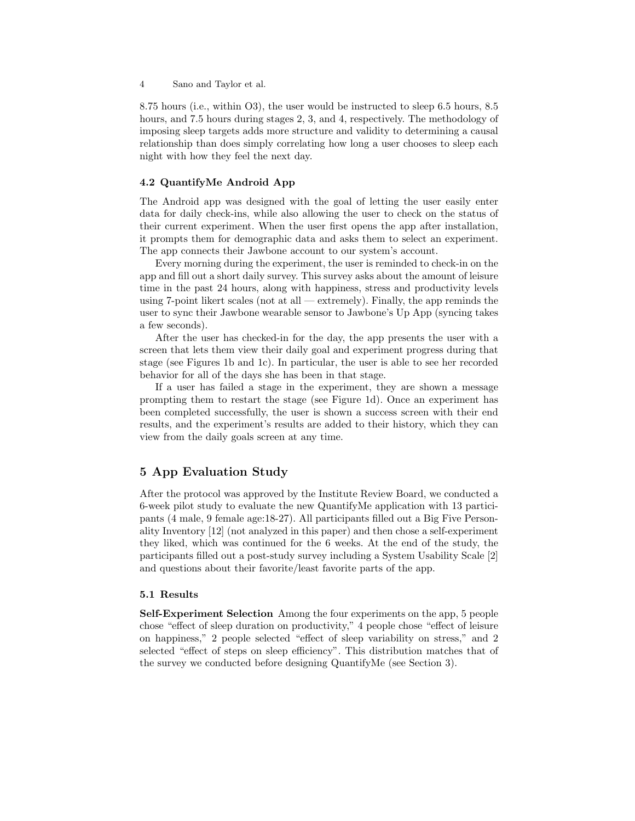4 Sano and Taylor et al.

8.75 hours (i.e., within O3), the user would be instructed to sleep 6.5 hours, 8.5 hours, and 7.5 hours during stages 2, 3, and 4, respectively. The methodology of imposing sleep targets adds more structure and validity to determining a causal relationship than does simply correlating how long a user chooses to sleep each night with how they feel the next day.

#### 4.2 QuantifyMe Android App

The Android app was designed with the goal of letting the user easily enter data for daily check-ins, while also allowing the user to check on the status of their current experiment. When the user first opens the app after installation, it prompts them for demographic data and asks them to select an experiment. The app connects their Jawbone account to our system's account.

Every morning during the experiment, the user is reminded to check-in on the app and fill out a short daily survey. This survey asks about the amount of leisure time in the past 24 hours, along with happiness, stress and productivity levels using 7-point likert scales (not at all  $-$  extremely). Finally, the app reminds the user to sync their Jawbone wearable sensor to Jawbone's Up App (syncing takes a few seconds).

After the user has checked-in for the day, the app presents the user with a screen that lets them view their daily goal and experiment progress during that stage (see Figures 1b and 1c). In particular, the user is able to see her recorded behavior for all of the days she has been in that stage.

If a user has failed a stage in the experiment, they are shown a message prompting them to restart the stage (see Figure 1d). Once an experiment has been completed successfully, the user is shown a success screen with their end results, and the experiment's results are added to their history, which they can view from the daily goals screen at any time.

## 5 App Evaluation Study

After the protocol was approved by the Institute Review Board, we conducted a 6-week pilot study to evaluate the new QuantifyMe application with 13 participants (4 male, 9 female age:18-27). All participants filled out a Big Five Personality Inventory [12] (not analyzed in this paper) and then chose a self-experiment they liked, which was continued for the 6 weeks. At the end of the study, the participants filled out a post-study survey including a System Usability Scale [2] and questions about their favorite/least favorite parts of the app.

#### 5.1 Results

Self-Experiment Selection Among the four experiments on the app, 5 people chose "effect of sleep duration on productivity," 4 people chose "effect of leisure on happiness," 2 people selected "effect of sleep variability on stress," and 2 selected "effect of steps on sleep efficiency". This distribution matches that of the survey we conducted before designing QuantifyMe (see Section 3).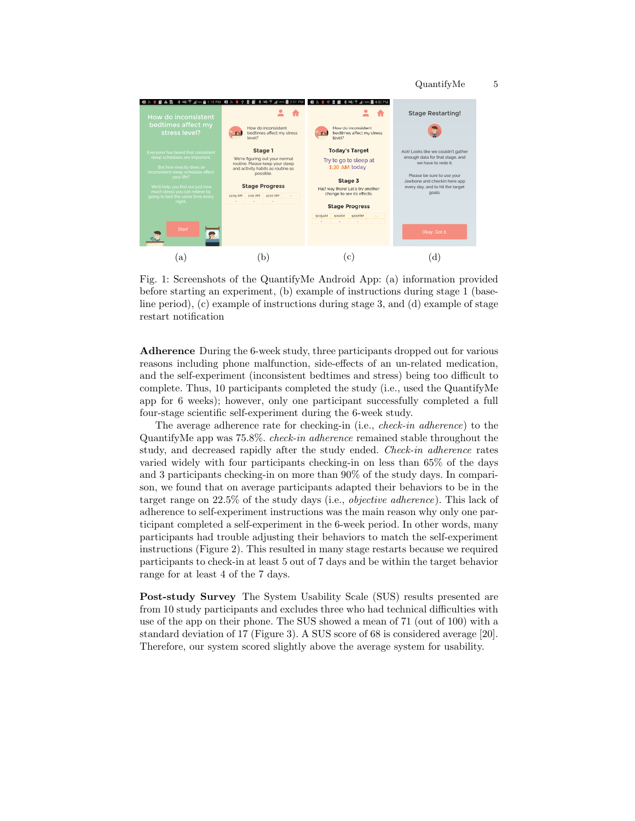#### QuantifyMe 5



Fig. 1: Screenshots of the QuantifyMe Android App: (a) information provided before starting an experiment, (b) example of instructions during stage 1 (baseline period), (c) example of instructions during stage 3, and (d) example of stage restart notification

Adherence During the 6-week study, three participants dropped out for various reasons including phone malfunction, side-effects of an un-related medication, and the self-experiment (inconsistent bedtimes and stress) being too difficult to complete. Thus, 10 participants completed the study (i.e., used the QuantifyMe app for 6 weeks); however, only one participant successfully completed a full four-stage scientific self-experiment during the 6-week study.

The average adherence rate for checking-in (i.e., check-in adherence) to the QuantifyMe app was 75.8%. check-in adherence remained stable throughout the study, and decreased rapidly after the study ended. Check-in adherence rates varied widely with four participants checking-in on less than 65% of the days and 3 participants checking-in on more than 90% of the study days. In comparison, we found that on average participants adapted their behaviors to be in the target range on 22.5% of the study days (i.e., objective adherence). This lack of adherence to self-experiment instructions was the main reason why only one participant completed a self-experiment in the 6-week period. In other words, many participants had trouble adjusting their behaviors to match the self-experiment instructions (Figure 2). This resulted in many stage restarts because we required participants to check-in at least 5 out of 7 days and be within the target behavior range for at least 4 of the 7 days.

Post-study Survey The System Usability Scale (SUS) results presented are from 10 study participants and excludes three who had technical difficulties with use of the app on their phone. The SUS showed a mean of 71 (out of 100) with a standard deviation of 17 (Figure 3). A SUS score of 68 is considered average [20]. Therefore, our system scored slightly above the average system for usability.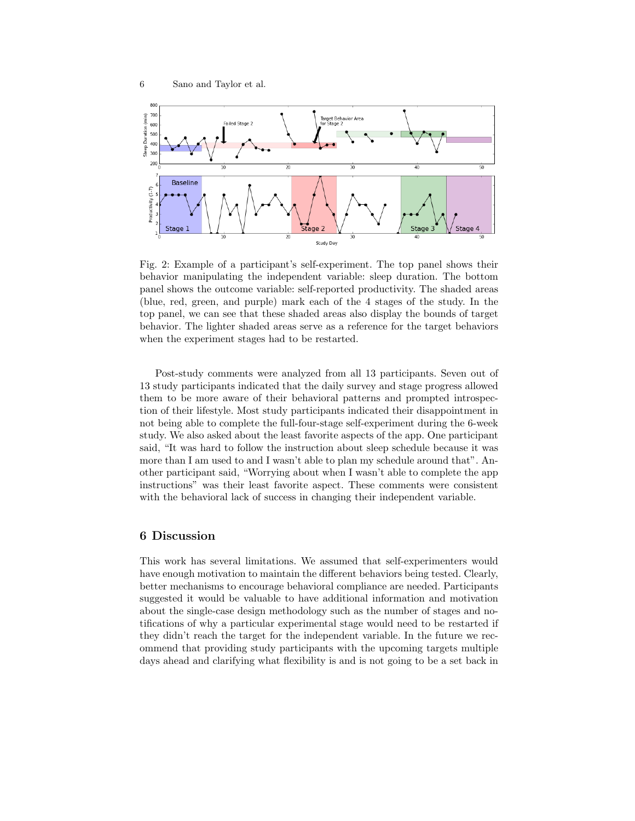

Fig. 2: Example of a participant's self-experiment. The top panel shows their behavior manipulating the independent variable: sleep duration. The bottom panel shows the outcome variable: self-reported productivity. The shaded areas (blue, red, green, and purple) mark each of the 4 stages of the study. In the top panel, we can see that these shaded areas also display the bounds of target behavior. The lighter shaded areas serve as a reference for the target behaviors when the experiment stages had to be restarted.

Post-study comments were analyzed from all 13 participants. Seven out of 13 study participants indicated that the daily survey and stage progress allowed them to be more aware of their behavioral patterns and prompted introspection of their lifestyle. Most study participants indicated their disappointment in not being able to complete the full-four-stage self-experiment during the 6-week study. We also asked about the least favorite aspects of the app. One participant said, "It was hard to follow the instruction about sleep schedule because it was more than I am used to and I wasn't able to plan my schedule around that". Another participant said, "Worrying about when I wasn't able to complete the app instructions" was their least favorite aspect. These comments were consistent with the behavioral lack of success in changing their independent variable.

## 6 Discussion

This work has several limitations. We assumed that self-experimenters would have enough motivation to maintain the different behaviors being tested. Clearly, better mechanisms to encourage behavioral compliance are needed. Participants suggested it would be valuable to have additional information and motivation about the single-case design methodology such as the number of stages and notifications of why a particular experimental stage would need to be restarted if they didn't reach the target for the independent variable. In the future we recommend that providing study participants with the upcoming targets multiple days ahead and clarifying what flexibility is and is not going to be a set back in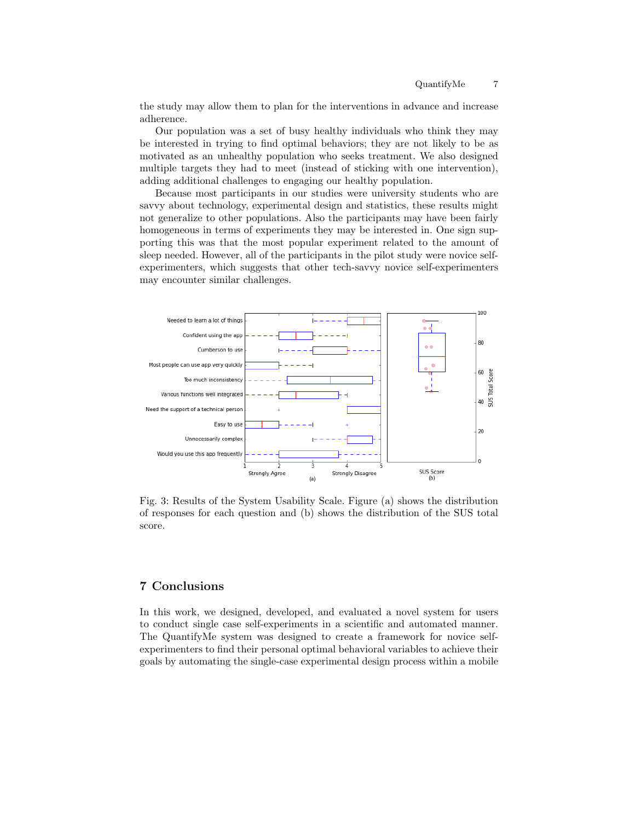the study may allow them to plan for the interventions in advance and increase adherence.

Our population was a set of busy healthy individuals who think they may be interested in trying to find optimal behaviors; they are not likely to be as motivated as an unhealthy population who seeks treatment. We also designed multiple targets they had to meet (instead of sticking with one intervention), adding additional challenges to engaging our healthy population.

Because most participants in our studies were university students who are savvy about technology, experimental design and statistics, these results might not generalize to other populations. Also the participants may have been fairly homogeneous in terms of experiments they may be interested in. One sign supporting this was that the most popular experiment related to the amount of sleep needed. However, all of the participants in the pilot study were novice selfexperimenters, which suggests that other tech-savvy novice self-experimenters may encounter similar challenges.



Fig. 3: Results of the System Usability Scale. Figure (a) shows the distribution of responses for each question and (b) shows the distribution of the SUS total score.

## 7 Conclusions

In this work, we designed, developed, and evaluated a novel system for users to conduct single case self-experiments in a scientific and automated manner. The QuantifyMe system was designed to create a framework for novice selfexperimenters to find their personal optimal behavioral variables to achieve their goals by automating the single-case experimental design process within a mobile